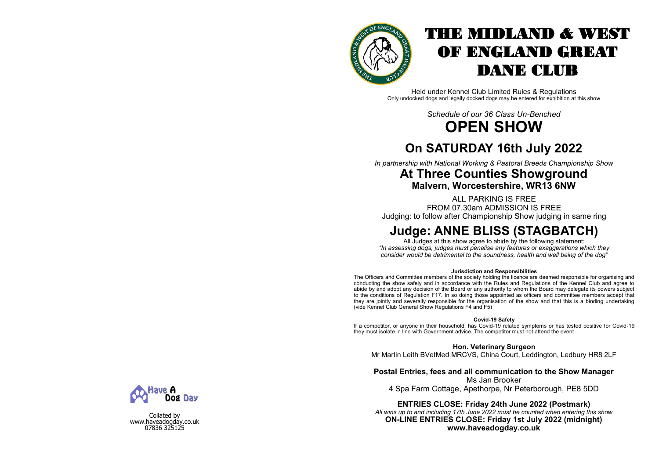

# THE MIDLAND & WEST OF ENGLAND GREAT DANE CLUB

Held under Kennel Club Limited Rules & Regulations Only undocked dogs and legally docked dogs may be entered for exhibition at this show

> *Schedule of our 36 Class Un-Benched* **OPEN SHOW**

# **On SATURDAY 16th July 2022**

*In partnership with National Working & Pastoral Breeds Championship Show*

# **At Three Counties Showground Malvern, Worcestershire, WR13 6NW**

ALL PARKING IS FREE FROM 07.30am ADMISSION IS FREE

Judging: to follow after Championship Show judging in same ring

# **Judge: ANNE BLISS (STAGBATCH)**

All Judges at this show agree to abide by the following statement: *"In assessing dogs, judges must penalise any features or exaggerations which they consider would be detrimental to the soundness, health and well being of the dog"*

#### **Jurisdiction and Responsibilities**

The Officers and Committee members of the society holding the licence are deemed responsible for organising and conducting the show safely and in accordance with the Rules and Regulations of the Kennel Club and agree to abide by and adopt any decision of the Board or any authority to whom the Board may delegate its powers subject to the conditions of Regulation F17. In so doing those appointed as officers and committee members accept that they are jointly and severally responsible for the organisation of the show and that this is a binding undertaking (vide Kennel Club General Show Regulations F4 and F5)

#### **Covid-19 Safety**

If a competitor, or anyone in their household, has Covid-19 related symptoms or has tested positive for Covid-19 they must isolate in line with Government advice. The competitor must not attend the event

**Hon. Veterinary Surgeon**

Mr Martin Leith BVetMed MRCVS, China Court, Leddington, Ledbury HR8 2LF

## **Postal Entries, fees and all communication to the Show Manager**

Ms Jan Brooker

4 Spa Farm Cottage, Apethorpe, Nr Peterborough, PE8 5DD

### **ENTRIES CLOSE: Friday 24th June 2022 (Postmark)**

*All wins up to and including 17th June 2022 must be counted when entering this show* **ON-LINE ENTRIES CLOSE: Friday 1st July 2022 (midnight) www.haveadogday.co.uk**



Collated by www.haveadogday.co.uk 07836 325125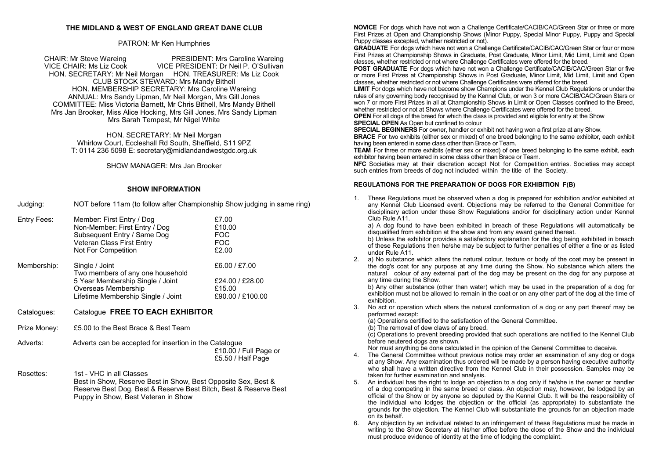#### **THE MIDLAND & WEST OF ENGLAND GREAT DANE CLUB**

#### PATRON: Mr Ken Humphries

CHAIR: Mr Steve Wareing **PRESIDENT: Mrs Caroline Wareing**<br>VICE CHAIR: Ms Liz Cook **PRESIDENT: Dr Neil P. O'Sullivan** VICE PRESIDENT: Dr Neil P. O'Sullivan HON. SECRETARY: Mr Neil Morgan HON. TREASURER: Ms Liz Cook CLUB STOCK STEWARD: Mrs Mandy Bithell HON. MEMBERSHIP SECRETARY: Mrs Caroline Wareing ANNUAL: Mrs Sandy Lipman, Mr Neil Morgan, Mrs Gill Jones COMMITTEE: Miss Victoria Barnett, Mr Chris Bithell, Mrs Mandy Bithell Mrs Jan Brooker, Miss Alice Hocking, Mrs Gill Jones, Mrs Sandy Lipman Mrs Sarah Tempest, Mr Nigel White

> HON. SECRETARY: Mr Neil Morgan Whirlow Court, Eccleshall Rd South, Sheffield, S11 9PZ T: 0114 236 5098 E: secretary@midlandandwestgdc.org.uk

> > SHOW MANAGER: Mrs Jan Brooker

#### **SHOW INFORMATION**

Judging: NOT before 11am (to follow after Championship Show judging in same ring)

| Entry Fees: | Member: First Entry / Dog<br>Non-Member: First Entry / Dog<br>Subsequent Entry / Same Dog<br>Veteran Class First Entry<br><b>Not For Competition</b> | £7.00<br>£10.00<br><b>FOC</b><br><b>FOC</b><br>£2.00           |
|-------------|------------------------------------------------------------------------------------------------------------------------------------------------------|----------------------------------------------------------------|
| Membership: | Single / Joint<br>Two members of any one household<br>5 Year Membership Single / Joint<br>Overseas Membership<br>Lifetime Membership Single / Joint  | £6.00 / £7.00<br>£24.00 / £28.00<br>£15.00<br>£90.00 / £100.00 |

- Catalogues: Catalogue **FREE TO EACH EXHIBITOR**
- Prize Money: £5.00 to the Best Brace & Best Team
- Adverts: Adverts can be accepted for insertion in the Catalogue £10.00 / Full Page or £5.50 / Half Page
- Rosettes: 1st VHC in all Classes Best in Show, Reserve Best in Show, Best Opposite Sex, Best & Reserve Best Dog, Best & Reserve Best Bitch, Best & Reserve Best Puppy in Show, Best Veteran in Show

**NOVICE** For dogs which have not won a Challenge Certificate/CACIB/CAC/Green Star or three or more First Prizes at Open and Championship Shows (Minor Puppy, Special Minor Puppy, Puppy and Special Puppy classes excepted, whether restricted or not).

**GRADUATE** For dogs which have not won a Challenge Certificate/CACIB/CAC/Green Star or four or more First Prizes at Championship Shows in Graduate, Post Graduate, Minor Limit, Mid Limit, Limit and Open classes, whether restricted or not where Challenge Certificates were offered for the breed.

**POST GRADUATE** For dogs which have not won a Challenge Certificate/CACIB/CAC/Green Star or five or more First Prizes at Championship Shows in Post Graduate, Minor Limit, Mid Limit, Limit and Open classes, whether restricted or not where Challenge Certificates were offered for the breed.

**LIMIT** For dogs which have not become show Champions under the Kennel Club Regulations or under the rules of any governing body recognised by the Kennel Club, or won 3 or more CACIB/CAC/Green Stars or won 7 or more First Prizes in all at Championship Shows in Limit or Open Classes confined to the Breed, whether restricted or not at Shows where Challenge Certificates were offered for the breed.

**OPEN** For all dogs of the breed for which the class is provided and eligible for entry at the Show **SPECIAL OPEN** As Open but confined to colour

**SPECIAL BEGINNERS** For owner, handler or exhibit not having won a first prize at any Show. **BRACE** For two exhibits (either sex or mixed) of one breed belonging to the same exhibitor, each exhibit having been entered in some class other than Brace or Team.

**TEAM** For three or more exhibits (either sex or mixed) of one breed belonging to the same exhibit, each exhibitor having been entered in some class other than Brace or Team.

**NFC** Societies may at their discretion accept Not for Competition entries. Societies may accept such entries from breeds of dog not included within the title of the Society.

#### **REGULATIONS FOR THE PREPARATION OF DOGS FOR EXHIBITION F(B)**

1. These Regulations must be observed when a dog is prepared for exhibition and/or exhibited at any Kennel Club Licensed event. Objections may be referred to the General Committee for disciplinary action under these Show Regulations and/or for disciplinary action under Kennel Club Rule A11.

a) A dog found to have been exhibited in breach of these Regulations will automatically be disqualified from exhibition at the show and from any award gained thereat.

b) Unless the exhibitor provides a satisfactory explanation for the dog being exhibited in breach of these Regulations then he/she may be subject to further penalties of either a fine or as listed under Rule A11.

2. a) No substance which alters the natural colour, texture or body of the coat may be present in the dog's coat for any purpose at any time during the Show. No substance which alters the natural colour of any external part of the dog may be present on the dog for any purpose at any time during the Show.

b) Any other substance (other than water) which may be used in the preparation of a dog for exhibition must not be allowed to remain in the coat or on any other part of the dog at the time of exhibition.

3. No act or operation which alters the natural conformation of a dog or any part thereof may be performed except:

(a) Operations certified to the satisfaction of the General Committee.

(b) The removal of dew claws of any breed.

(c) Operations to prevent breeding provided that such operations are notified to the Kennel Club before neutered dogs are shown.

Nor must anything be done calculated in the opinion of the General Committee to deceive.

- 4. The General Committee without previous notice may order an examination of any dog or dogs at any Show. Any examination thus ordered will be made by a person having executive authority who shall have a written directive from the Kennel Club in their possession. Samples may be taken for further examination and analysis.
- 5. An individual has the right to lodge an objection to a dog only if he/she is the owner or handler of a dog competing in the same breed or class. An objection may, however, be lodged by an official of the Show or by anyone so deputed by the Kennel Club. It will be the responsibility of the individual who lodges the objection or the official (as appropriate) to substantiate the grounds for the objection. The Kennel Club will substantiate the grounds for an objection made on its behalf.
- 6. Any objection by an individual related to an infringement of these Regulations must be made in writing to the Show Secretary at his/her office before the close of the Show and the individual must produce evidence of identity at the time of lodging the complaint.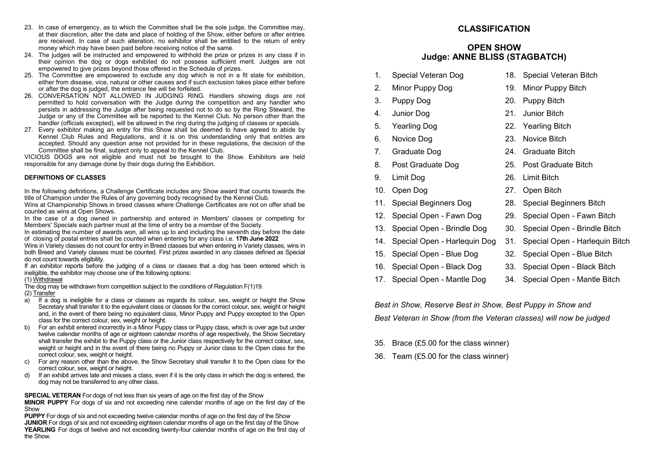- 23. In case of emergency, as to which the Committee shall be the sole judge, the Committee may, at their discretion, alter the date and place of holding of the Show, either before or after entries are received. In case of such alteration, no exhibitor shall be entitled to the return of entry money which may have been paid before receiving notice of the same.
- 24. The judges will be instructed and empowered to withhold the prize or prizes in any class if in their opinion the dog or dogs exhibited do not possess sufficient merit. Judges are not empowered to give prizes beyond those offered in the Schedule of prizes.
- 25. The Committee are empowered to exclude any dog which is not in a fit state for exhibition, either from disease, vice, natural or other causes and if such exclusion takes place either before or after the dog is judged, the entrance fee will be forfeited.
- 26. CONVERSATION NOT ALLOWED IN JUDGING RING. Handlers showing dogs are not permitted to hold conversation with the Judge during the competition and any handler who persists in addressing the Judge after being requested not to do so by the Ring Steward, the Judge or any of the Committee will be reported to the Kennel Club. No person other than the handler (officials excepted), will be allowed in the ring during the judging of classes or specials.
- 27. Every exhibitor making an entry for this Show shall be deemed to have agreed to abide by Kennel Club Rules and Regulations, and it is on this understanding only that entries are accepted. Should any question arise not provided for in these regulations, the decision of the Committee shall be final, subject only to appeal to the Kennel Club.

VICIOUS DOGS are not eligible and must not be brought to the Show. Exhibitors are held responsible for any damage done by their dogs during the Exhibition.

#### **DEFINITIONS OF CLASSES**

In the following definitions, a Challenge Certificate includes any Show award that counts towards the title of Champion under the Rules of any governing body recognised by the Kennel Club.

Wins at Championship Shows in breed classes where Challenge Certificates are not on offer shall be counted as wins at Open Shows.

In the case of a dog owned in partnership and entered in Members' classes or competing for Members' Specials each partner must at the time of entry be a member of the Society.

In estimating the number of awards won, all wins up to and including the seventh day before the date of closing of postal entries shall be counted when entering for any class i.e. **17th June 2022**

Wins in Variety classes do not count for entry in Breed classes but when entering in Variety classes, wins in both Breed and Variety classes must be counted. First prizes awarded in any classes defined as Special do not count towards eligibility.

If an exhibitor reports before the judging of a class or classes that a dog has been entered which is ineligible, the exhibitor may choose one of the following options:

#### (1) Withdrawal

The dog may be withdrawn from competition subject to the conditions of Regulation F(1)19.

(2) Transfer

- $\overline{a}$ ) If a dog is ineligible for a class or classes as regards its colour, sex, weight or height the Show Secretary shall transfer it to the equivalent class or classes for the correct colour, sex, weight or height and, in the event of there being no equivalent class, Minor Puppy and Puppy excepted to the Open class for the correct colour, sex, weight or height.
- b) For an exhibit entered incorrectly in a Minor Puppy class or Puppy class, which is over age but under twelve calendar months of age or eighteen calendar months of age respectively, the Show Secretary shall transfer the exhibit to the Puppy class or the Junior class respectively for the correct colour, sex, weight or height and in the event of there being no Puppy or Junior class to the Open class for the correct colour, sex, weight or height.
- c) For any reason other than the above, the Show Secretary shall transfer It to the Open class for the correct colour, sex, weight or height.
- d) If an exhibit arrives late and misses a class, even if it is the only class in which the dog is entered, the dog may not be transferred to any other class.

**SPECIAL VETERAN** For dogs of not less than six years of age on the first day of the Show

**MINOR PUPPY** For dogs of six and not exceeding nine calendar months of age on the first day of the Show

**PUPPY** For dogs of six and not exceeding twelve calendar months of age on the first day of the Show **JUNIOR** For dogs of six and not exceeding eighteen calendar months of age on the first day of the Show **YEARLING** For dogs of twelve and not exceeding twenty-four calendar months of age on the first day of the Show.

# **CLASSIFICATION**

### **OPEN SHOW Judge: ANNE BLISS (STAGBATCH)**

- 1. Special Veteran Dog 18. Special Veteran Bitch
	-
- 2. Minor Puppy Dog 19. Minor Puppy Bitch
- 3. Puppy Dog 20. Puppy Bitch
- 
- 
- 
- 
- 
- 
- 
- 
- 12. Special Open Fawn Dog 29. Special Open Fawn Bitch
- 
- 14. Special Open Harlequin Dog 31. Special Open Harlequin Bitch
- 
- 
- 
- 
- 
- 4. Junior Dog 21. Junior Bitch
- 5. Yearling Dog 22. Yearling Bitch
- 6. Novice Dog 23. Novice Bitch
- 7. Graduate Dog 24. Graduate Bitch
- 8. Post Graduate Dog 25. Post Graduate Bitch
- 9. Limit Dog 26. Limit Bitch
- 10. Open Dog 27. Open Bitch
	-
	-
- 13. Special Open Brindle Dog 30. Special Open Brindle Bitch
	-
- 15. Special Open Blue Dog 32. Special Open Blue Bitch
- 16. Special Open Black Dog 33. Special Open Black Bitch
- 17. Special Open Mantle Dog 34. Special Open Mantle Bitch

*Best in Show, Reserve Best in Show, Best Puppy in Show and Best Veteran in Show (from the Veteran classes) will now be judged*

- 35. Brace (£5.00 for the class winner)
- 36. Team (£5.00 for the class winner)
- 

11. Special Beginners Dog 28. Special Beginners Bitch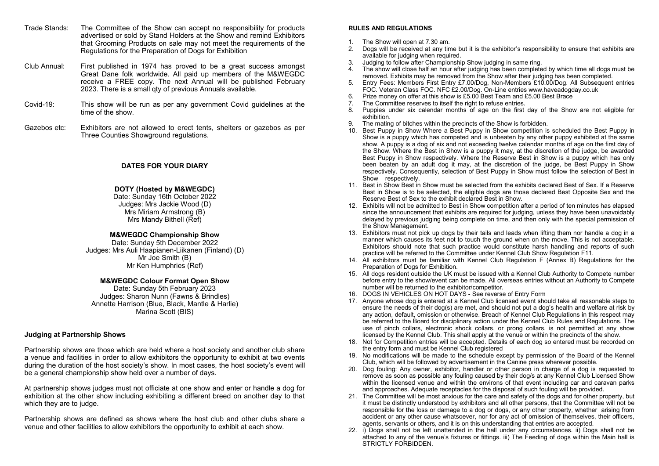- Trade Stands: The Committee of the Show can accept no responsibility for products advertised or sold by Stand Holders at the Show and remind Exhibitors that Grooming Products on sale may not meet the requirements of the Regulations for the Preparation of Dogs for Exhibition
- Club Annual: First published in 1974 has proved to be a great success amongst Great Dane folk worldwide. All paid up members of the M&WEGDC receive a FREE copy. The next Annual will be published February 2023. There is a small qty of previous Annuals available.
- Covid-19: This show will be run as per any government Covid guidelines at the time of the show.
- Gazebos etc: Exhibitors are not allowed to erect tents, shelters or gazebos as per Three Counties Showground regulations.

#### **DATES FOR YOUR DIARY**

#### **DOTY (Hosted by M&WEGDC)**

Date: Sunday 16th October 2022 Judges: Mrs Jackie Wood (D) Mrs Miriam Armstrong (B) Mrs Mandy Bithell (Ref)

#### **M&WEGDC Championship Show**

Date: Sunday 5th December 2022 Judges: Mrs Auli Haapianen-Liikanen (Finland) (D) Mr Joe Smith (B) Mr Ken Humphries (Ref)

#### **M&WEGDC Colour Format Open Show**

Date: Sunday 5th February 2023 Judges: Sharon Nunn (Fawns & Brindles) Annette Harrison (Blue, Black, Mantle & Harlie) Marina Scott (BIS)

#### **Judging at Partnership Shows**

Partnership shows are those which are held where a host society and another club share a venue and facilities in order to allow exhibitors the opportunity to exhibit at two events during the duration of the host society's show. In most cases, the host society's event will be a general championship show held over a number of days.

At partnership shows judges must not officiate at one show and enter or handle a dog for exhibition at the other show including exhibiting a different breed on another day to that which they are to judge.

Partnership shows are defined as shows where the host club and other clubs share a venue and other facilities to allow exhibitors the opportunity to exhibit at each show.

#### **RULES AND REGULATIONS**

- 1. The Show will open at 7.30 am.<br>2. Dogs will be received at any time
- 2. Dogs will be received at any time but it is the exhibitor's responsibility to ensure that exhibits are available for judging when required.
- 3. Judging to follow after Championship Show judging in same ring.
- The show will close half an hour after judging has been completed by which time all dogs must be removed. Exhibits may be removed from the Show after their judging has been completed.
- 5. Entry Fees: Members First Entry £7.00/Dog, Non-Members £10.00/Dog. All Subsequent entries FOC. Veteran Class FOC. NFC £2.00/Dog. On-Line entries www.haveadogday.co.uk
- 6. Prize money on offer at this show is £5.00 Best Team and £5.00 Best Brace
- 7. The Committee reserves to itself the right to refuse entries.<br>8. Puppies under six calendar months of age on the first
- 8. Puppies under six calendar months of age on the first day of the Show are not eligible for exhibition.
- 9. The mating of bitches within the precincts of the Show is forbidden.
- 10. Best Puppy in Show Where a Best Puppy in Show competition is scheduled the Best Puppy in Show is a puppy which has competed and is unbeaten by any other puppy exhibited at the same show. A puppy is a dog of six and not exceeding twelve calendar months of age on the first day of the Show. Where the Best in Show is a puppy it may, at the discretion of the judge, be awarded Best Puppy in Show respectively. Where the Reserve Best in Show is a puppy which has only been beaten by an adult dog it may, at the discretion of the judge, be Best Puppy in Show respectively. Consequently, selection of Best Puppy in Show must follow the selection of Best in Show respectively.
- 11. Best in Show Best in Show must be selected from the exhibits declared Best of Sex. If a Reserve Best in Show is to be selected, the eligible dogs are those declared Best Opposite Sex and the Reserve Best of Sex to the exhibit declared Best in Show.
- 12. Exhibits will not be admitted to Best in Show competition after a period of ten minutes has elapsed since the announcement that exhibits are required for judging, unless they have been unavoidably delayed by previous judging being complete on time, and then only with the special permission of the Show Management.
- 13. Exhibitors must not pick up dogs by their tails and leads when lifting them nor handle a dog in a manner which causes its feet not to touch the ground when on the move. This is not acceptable. Exhibitors should note that such practice would constitute harsh handling and reports of such practice will be referred to the Committee under Kennel Club Show Regulation F11.
- 14. All exhibitors must be familiar with Kennel Club Regulation F (Annex B) Regulations for the Preparation of Dogs for Exhibition.
- 15. All dogs resident outside the UK must be issued with a Kennel Club Authority to Compete number before entry to the show/event can be made. All overseas entries without an Authority to Compete number will be returned to the exhibitor/competitor.
- 16. DOGS IN VEHICLES ON HOT DAYS See reverse of Entry Form
- 17. Anyone whose dog is entered at a Kennel Club licensed event should take all reasonable steps to ensure the needs of their dog(s) are met, and should not put a dog's health and welfare at risk by any action, default, omission or otherwise. Breach of Kennel Club Regulations in this respect may be referred to the Board for disciplinary action under the Kennel Club Rules and Regulations. The use of pinch collars, electronic shock collars, or prong collars, is not permitted at any show licensed by the Kennel Club. This shall apply at the venue or within the precincts of the show.
- 18. Not for Competition entries will be accepted. Details of each dog so entered must be recorded on the entry form and must be Kennel Club registered
- 19. No modifications will be made to the schedule except by permission of the Board of the Kennel Club, which will be followed by advertisement in the Canine press wherever possible.
- 20. Dog fouling: Any owner, exhibitor, handler or other person in charge of a dog is requested to remove as soon as possible any fouling caused by their dog/s at any Kennel Club Licensed Show within the licensed venue and within the environs of that event including car and caravan parks and approaches. Adequate receptacles for the disposal of such fouling will be provided.
- 21. The Committee will be most anxious for the care and safety of the dogs and for other property, but it must be distinctly understood by exhibitors and all other persons, that the Committee will not be responsible for the loss or damage to a dog or dogs, or any other property, whether arising from accident or any other cause whatsoever, nor for any act of omission of themselves, their officers, agents, servants or others, and it is on this understanding that entries are accepted.
- 22. i) Dogs shall not be left unattended in the hall under any circumstances. ii) Dogs shall not be attached to any of the venue's fixtures or fittings. iii) The Feeding of dogs within the Main hall is STRICTLY FORBIDDEN.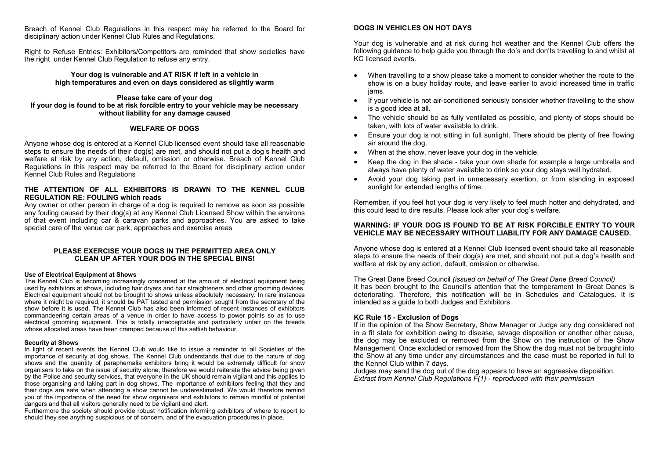Breach of Kennel Club Regulations in this respect may be referred to the Board for disciplinary action under Kennel Club Rules and Regulations.

Right to Refuse Entries: Exhibitors/Competitors are reminded that show societies have the right under Kennel Club Regulation to refuse any entry.

> **Your dog is vulnerable and AT RISK if left in a vehicle in high temperatures and even on days considered as slightly warm**

#### **Please take care of your dog If your dog is found to be at risk forcible entry to your vehicle may be necessary without liability for any damage caused**

#### **WELFARE OF DOGS**

Anyone whose dog is entered at a Kennel Club licensed event should take all reasonable steps to ensure the needs of their dog(s) are met, and should not put a dog's health and welfare at risk by any action, default, omission or otherwise. Breach of Kennel Club Regulations in this respect may be referred to the Board for disciplinary action under Kennel Club Rules and Regulations

### **THE ATTENTION OF ALL EXHIBITORS IS DRAWN TO THE KENNEL CLUB REGULATION RE: FOULING which reads**

Any owner or other person in charge of a dog is required to remove as soon as possible any fouling caused by their dog(s) at any Kennel Club Licensed Show within the environs of that event including car & caravan parks and approaches. You are asked to take special care of the venue car park, approaches and exercise areas

#### **PLEASE EXERCISE YOUR DOGS IN THE PERMITTED AREA ONLY CLEAN UP AFTER YOUR DOG IN THE SPECIAL BINS!**

#### **Use of Electrical Equipment at Shows**

The Kennel Club is becoming increasingly concerned at the amount of electrical equipment being used by exhibitors at shows, including hair dryers and hair straighteners and other grooming devices. Electrical equipment should not be brought to shows unless absolutely necessary. In rare instances where it might be required, it should be PAT tested and permission sought from the secretary of the show before it is used. The Kennel Club has also been informed of recent instances of exhibitors commandeering certain areas of a venue in order to have access to power points so as to use electrical grooming equipment. This is totally unacceptable and particularly unfair on the breeds whose allocated areas have been cramped because of this selfish behaviour.

#### **Security at Shows**

In light of recent events the Kennel Club would like to issue a reminder to all Societies of the importance of security at dog shows. The Kennel Club understands that due to the nature of dog shows and the quantity of paraphernalia exhibitors bring it would be extremely difficult for show organisers to take on the issue of security alone, therefore we would reiterate the advice being given by the Police and security services, that everyone in the UK should remain vigilant and this applies to those organising and taking part in dog shows. The importance of exhibitors feeling that they and their dogs are safe when attending a show cannot be underestimated. We would therefore remind you of the importance of the need for show organisers and exhibitors to remain mindful of potential dangers and that all visitors generally need to be vigilant and alert.

Furthermore the society should provide robust notification informing exhibitors of where to report to should they see anything suspicious or of concern, and of the evacuation procedures in place.

#### **DOGS IN VEHICLES ON HOT DAYS**

Your dog is vulnerable and at risk during hot weather and the Kennel Club offers the following guidance to help guide you through the do's and don'ts travelling to and whilst at KC licensed events.

- When travelling to a show please take a moment to consider whether the route to the show is on a busy holiday route, and leave earlier to avoid increased time in traffic jams.
- If your vehicle is not air-conditioned seriously consider whether travelling to the show is a good idea at all.
- The vehicle should be as fully ventilated as possible, and plenty of stops should be taken, with lots of water available to drink.
- Finsure your dog is not sitting in full sunlight. There should be plenty of free flowing air around the dog.
- When at the show, never leave your dog in the vehicle.
- Keep the dog in the shade take your own shade for example a large umbrella and always have plenty of water available to drink so your dog stays well hydrated.
- Avoid your dog taking part in unnecessary exertion, or from standing in exposed sunlight for extended lengths of time.

Remember, if you feel hot your dog is very likely to feel much hotter and dehydrated, and this could lead to dire results. Please look after your dog's welfare.

#### **WARNING: IF YOUR DOG IS FOUND TO BE AT RISK FORCIBLE ENTRY TO YOUR VEHICLE MAY BE NECESSARY WITHOUT LIABILITY FOR ANY DAMAGE CAUSED.**

Anyone whose dog is entered at a Kennel Club licensed event should take all reasonable steps to ensure the needs of their dog(s) are met, and should not put a dog's health and welfare at risk by any action, default, omission or otherwise.

The Great Dane Breed Council *(issued on behalf of The Great Dane Breed Council)* It has been brought to the Council's attention that the temperament In Great Danes is deteriorating. Therefore, this notification will be in Schedules and Catalogues. It is intended as a guide to both Judges and Exhibitors

#### **KC Rule 15 - Exclusion of Dogs**

If in the opinion of the Show Secretary, Show Manager or Judge any dog considered not in a fit state for exhibition owing to disease, savage disposition or another other cause, the dog may be excluded or removed from the Show on the instruction of the Show Management. Once excluded or removed from the Show the dog must not be brought into the Show at any time under any circumstances and the case must be reported in full to the Kennel Club within 7 days.

Judges may send the dog out of the dog appears to have an aggressive disposition. *Extract from Kennel Club Regulations F(1) - reproduced with their permission*